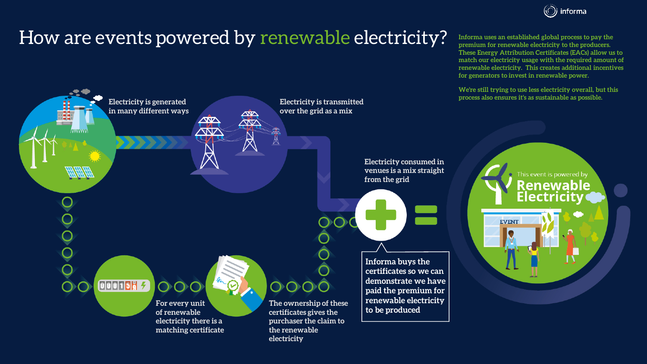

## How are events powered by renewable electricity?



**Informa uses an established global process to pay the premium for renewable electricity to the producers. These Energy Attribution Certificates (EACs) allow us to match our electricity usage with the required amount of renewable electricity. This creates additional incentives for generators to invest in renewable power.** 

**We're still trying to use less electricity overall, but this process also ensures it's as sustainable as possible.**

> This event is powered by **Renewable Electricity**